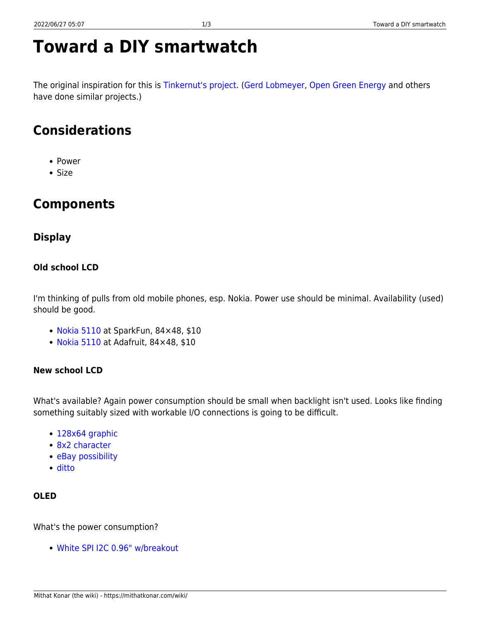# **Toward a DIY smartwatch**

The original inspiration for this is [Tinkernut's project.](https://youtu.be/LfmwhabTVB4?list=PLlg8lN4r9qWg3sE6MyL5WFhziQyT_k0DU) ([Gerd Lobmeyer,](https://www.youtube.com/watch?v=3ogulEcB_Ks) [Open Green Energy](https://www.youtube.com/watch?v=01Ld2wzYHKo) and others have done similar projects.)

# **Considerations**

- Power
- Size

# **Components**

# **Display**

### **Old school LCD**

I'm thinking of pulls from old mobile phones, esp. Nokia. Power use should be minimal. Availability (used) should be good.

- [Nokia 5110](https://www.sparkfun.com/products/10168) at SparkFun, 84×48, \$10
- [Nokia 5110](https://www.adafruit.com/product/338) at Adafruit, 84×48, \$10

# **New school LCD**

What's available? Again power consumption should be small when backlight isn't used. Looks like finding something suitably sized with workable I/O connections is going to be difficult.

- [128x64 graphic](http://www.buydisplay.com/default/graphic-display/128x64-dots)
- [8x2 character](http://www.buydisplay.com/default/character-display/8x2-character)
- [eBay possibility](http://www.ebay.com/itm/1-44-Red-Serial-128X128-SPI-Color-TFT-LCD-Module-Display-Replace-Nokia-5110-LCD-/262136737086?hash=item3d08912d3e:g:wyQAAOSwoydWoYhX)
- [ditto](http://www.ebay.com/itm/1-44-Red-Serial-128X128-SPI-Color-TFT-LCD-Module-Display-Replace-Nokia-5110-LCD-/310876068105?hash=item4861a85909:g:9LoAAOSwpzdWqdY~)

# **OLED**

What's the power consumption?

[White SPI I2C 0.96" w/breakout](http://www.buydisplay.com/default/white-spi-i2c-0-96-inch-oled-display-module-breakout-board-for-arduino)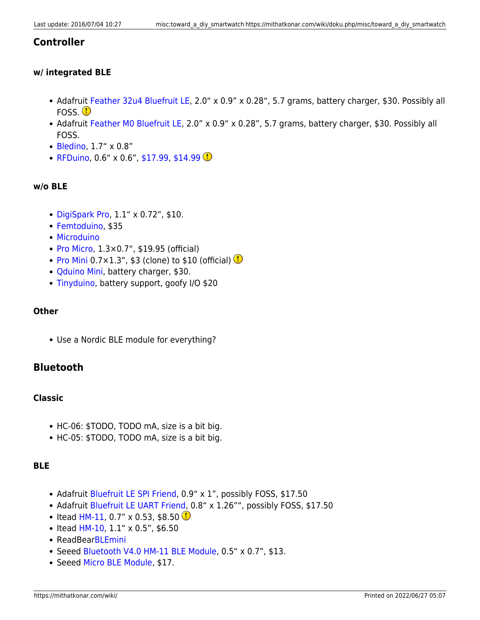### **Controller**

#### **w/ integrated BLE**

- Adafruit [Feather 32u4 Bluefruit LE](https://www.adafruit.com/products/2829), 2.0" x 0.9" x 0.28", 5.7 grams, battery charger, \$30. Possibly all FOSS.<sup>1</sup>
- Adafruit [Feather M0 Bluefruit LE,](https://www.adafruit.com/products/2995) 2.0" x 0.9" x 0.28", 5.7 grams, battery charger, \$30. Possibly all FOSS.
- [Bledino,](http://bleduino.cc/) 1.7" x 0.8"
- [RFDuino](http://www.rfdigital.com/shop/index.html), 0.6" x 0.6", [\\$17.99](http://www.mouser.com/ProductDetail/RF-Digital/RFD22301/?qs=%2fha2pyFadugNWf53j%2f86uEf%2fd9qK8tBLHEbFqnjCkaFqhYjJ63mw1A%3d%3d), [\\$14.99](http://www.semiconductorstore.com/cart/pc/viewPrd.asp?idproduct=48872)  $\circledR$

#### **w/o BLE**

- [DigiSpark Pro,](http://digistump.com/products/109) 1.1" x 0.72", \$10.
- [Femtoduino,](https://femto.io/collections/core/products/femtoduino) \$35
- [Microduino](https://www.microduino.cc/product/core)
- [Pro Micro,](https://www.sparkfun.com/products/12587) 1.3×0.7", \$19.95 (official)
- [Pro Mini](https://www.sparkfun.com/products/11113) 0.7 $\times$ 1.3", \$3 (clone) to \$10 (official)
- [Qduino Mini](https://www.sparkfun.com/products/13614), battery charger, \$30.
- [Tinyduino](https://tinycircuits.com/products/tinyduino-processor-board), battery support, goofy I/O \$20

#### **Other**

Use a Nordic BLE module for everything?

# **Bluetooth**

#### **Classic**

- HC-06: \$TODO, TODO mA, size is a bit big.
- HC-05: \$TODO, TODO mA, size is a bit big.

#### **BLE**

- Adafruit [Bluefruit LE SPI Friend](https://www.adafruit.com/product/2633), 0.9" x 1", possibly FOSS, \$17.50
- Adafruit [Bluefruit LE UART Friend,](https://www.adafruit.com/products/2479) 0.8" x 1.26"", possibly FOSS, \$17.50
- Itead [HM-11](https://www.itead.cc/hm-11.html), 0.7" x 0.53, \$8.50
- $\bullet$  Itead [HM-10](https://www.itead.cc/serial-port-ble-module-master-slave-hm-10.html), 1.1" x 0.5", \$6.50
- ReadBear[BLEmini](http://redbearlab.com/blemini/)
- Seeed [Bluetooth V4.0 HM-11 BLE Module](https://www.seeedstudio.com/item_detail.html?p_id=1803), 0.5" x 0.7", \$13.
- Seeed [Micro BLE Module](https://www.seeedstudio.com/item_detail.html?p_id=1975), \$17.